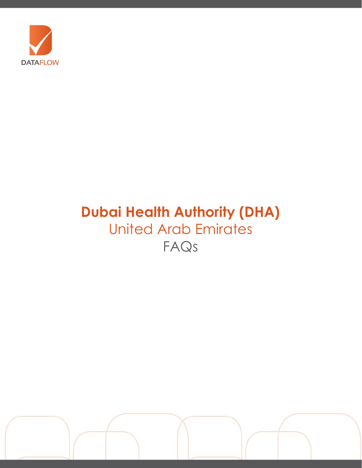

# **Dubai Health Authority (DHA)** United Arab Emirates FAQs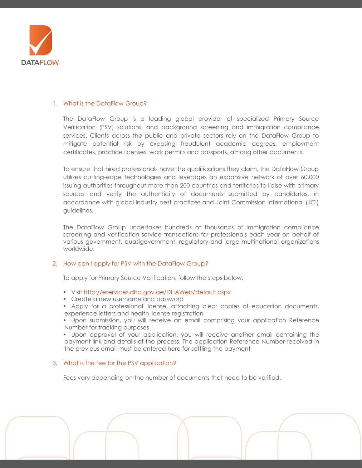

## 1. What is the DataFlow Group?

The DataFlow Group is a leading global provider of specialized Primary Source Verification (PSV) solutions, and background screening and immigration compliance services. Clients across the public and private sectors rely on the DataFlow Group to mitigate potential risk by exposing fraudulent academic degrees, employment certificates, practice licenses, work permits and passports, among other documents.

To ensure that hired professionals have the qualifications they claim, the DataFlow Group utilizes cutting-edge technologies and leverages an expansive network of over 60,000 issuing authorities throughout more than 200 countries and territories to liaise with primary sources and verify the authenticity of documents submitted by candidates, in accordance with global industry best practices and Joint Commission International (JCI) guidelines.

The DataFlow Group undertakes hundreds of thousands of immigration compliance screening and verification service transactions for professionals each year on behalf of various government, quasigovernment, regulatory and large multinational organizations worldwide.

## 2. How can I apply for PSV with the DataFlow Group?

To apply for Primary Source Verification, follow the steps below:

- Visit<http://eservices.dha.gov.ae/DHAWeb/default.aspx>
- Create a new username and password
- Apply for a professional license, attaching clear copies of education documents, experience letters and health license registration
- Upon submission, you will receive an email comprising your application Reference Number for tracking purposes

• Upon approval of your application, you will receive another email containing the payment link and details of the process. The application Reference Number received in the previous email must be entered here for settling the payment

#### 3. What is the fee for the PSV application?

Fees vary depending on the number of documents that need to be verified.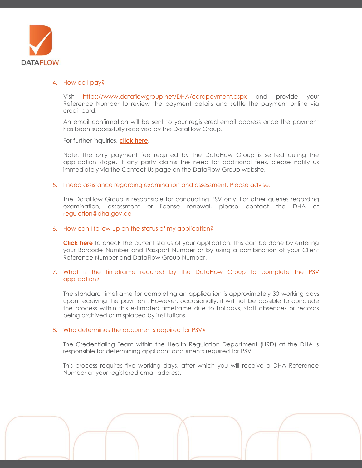

#### 4. How do I pay?

Visit <https://www.dataflowgroup.net/DHA/cardpayment.aspx> and provide your Reference Number to review the payment details and settle the payment online via credit card.

An email confirmation will be sent to your registered email address once the payment has been successfully received by the DataFlow Group.

For further inquiries, **[click here](https://corp.dataflowgroup.com/faq.html)**.

Note: The only payment fee required by the DataFlow Group is settled during the application stage. If any party claims the need for additional fees, please notify us immediately via the Contact Us page on the DataFlow Group website.

#### 5. I need assistance regarding examination and assessment. Please advise.

The DataFlow Group is responsible for conducting PSV only. For other queries regarding examination, assessment or license renewal, please contact the DHA at r[egulation@dha.gov.ae](mailto:regulation@dha.gov.ae)

#### 6. How can I follow up on the status of my application?

**[Click here](http://dataflowstatus.com/applicationstatus)** to check the current status of your application. This can be done by entering your Barcode Number and Passport Number or by using a combination of your Client Reference Number and DataFlow Group Number.

### 7. What is the timeframe required by the DataFlow Group to complete the PSV application?

The standard timeframe for completing an application is approximately 30 working days upon receiving the payment. However, occasionally, it will not be possible to conclude the process within this estimated timeframe due to holidays, staff absences or records being archived or misplaced by institutions.

#### 8. Who determines the documents required for PSV?

The Credentialing Team within the Health Regulation Department (HRD) at the DHA is responsible for determining applicant documents required for PSV.

This process requires five working days, after which you will receive a DHA Reference Number at your registered email address.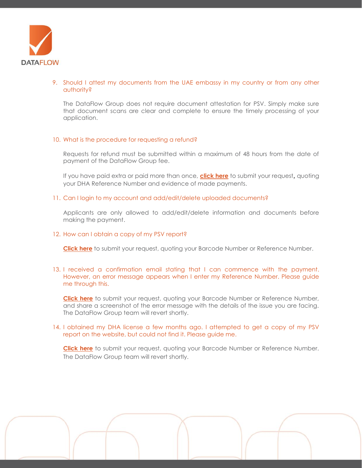

## 9. Should I attest my documents from the UAE embassy in my country or from any other authority?

The DataFlow Group does not require document attestation for PSV. Simply make sure that document scans are clear and complete to ensure the timely processing of your application.

## 10. What is the procedure for requesting a refund?

Requests for refund must be submitted within a maximum of 48 hours from the date of payment of the DataFlow Group fee.

If you have paid extra or paid more than once, **[click here](https://corp.dataflowgroup.com/faq.html)** to submit your request, quoting your DHA Reference Number and evidence of made payments.

### 11. Can I login to my account and add/edit/delete uploaded documents?

Applicants are only allowed to add/edit/delete information and documents before making the payment.

## 12. How can I obtain a copy of my PSV report?

**[Click here](https://corp.dataflowgroup.com/faq.html)** to submit your request, quoting your Barcode Number or Reference Number.

13. I received a confirmation email stating that I can commence with the payment. However, an error message appears when I enter my Reference Number. Please guide me through this.

**[Click here](https://corp.dataflowgroup.com/faq.html)** to submit your request, quoting your Barcode Number or Reference Number, and share a screenshot of the error message with the details of the issue you are facing. The DataFlow Group team will revert shortly.

### 14. I obtained my DHA license a few months ago. I attempted to get a copy of my PSV report on the website, but could not find it. Please guide me.

**[Click here](https://corp.dataflowgroup.com/faq.html)** to submit your request, quoting your Barcode Number or Reference Number. The DataFlow Group team will revert shortly.